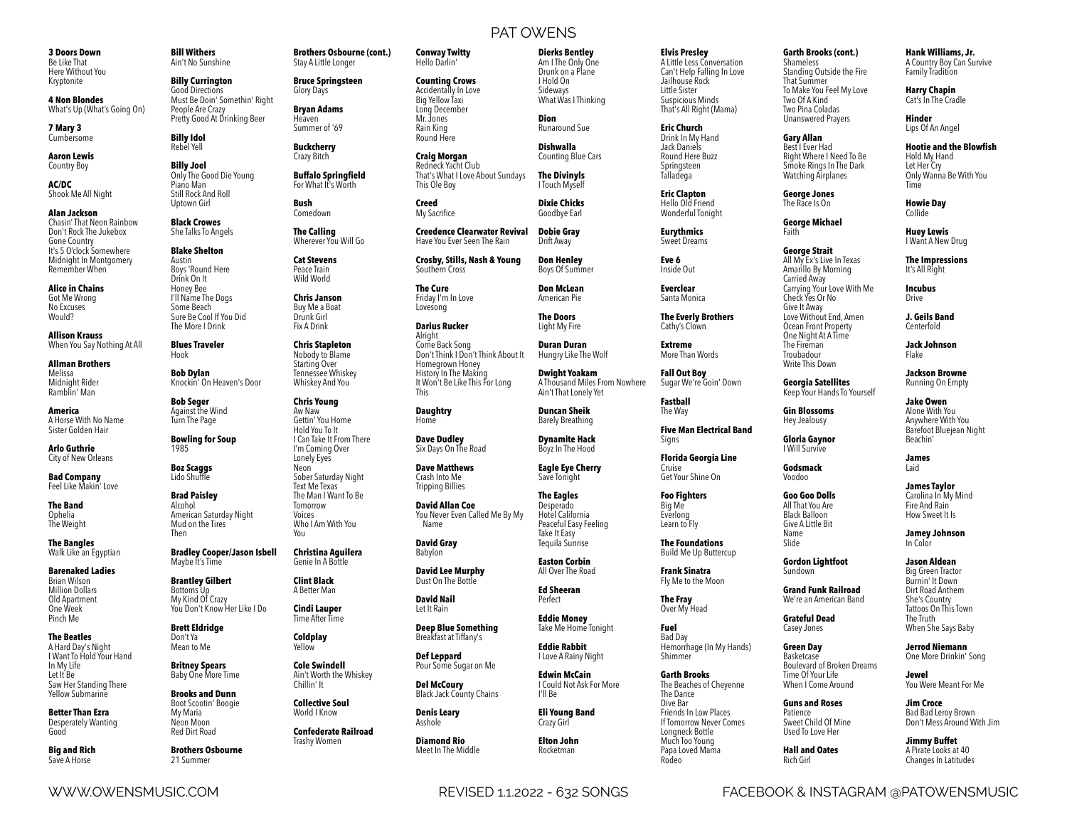**3 Doors Down**  Be Like That Here Without You Kryptonite

**4 Non Blondes**  What's Up (What's Going On)

**7 Mary 3**  Cumbersome

**Aaron Lewis**  Country Boy

**AC/DC**  Shook Me All Night

**Alan Jackson**  Chasin' That Neon Rainbow Don't Rock The Jukebox Gone Country It's 5 O'clock Somewhere Midnight In Montgomery Remember When

**Alice in Chains**  Got Me Wrong No Excuses Would?

**Allison Krauss**  When You Say Nothing At All

**Allman Brothers**  Melissa Midnight Rider Ramblin' Man

**America**  A Horse With No Name Sister Golden Hair

**Arlo Guthrie**  City of New Orleans

**Bad Company**  Feel Like Makin' Love

**The Band**  Ophelia The Weight

**The Bangles**  Walk Like an Egyptian

**Barenaked Ladies**  Brian Wilson Million Dollars Old Apartment One Week Pinch Me

**The Beatles**  A Hard Day's Night I Want To Hold Your Hand In My Life Let It Be Saw Her Standing There Yellow Submarine

**Better Than Ezra**  Desperately Wanting Good

**Big and Rich**  Save A Horse

**Bill Withers**  Ain't No Sunshine

Rebel Yell

**Billy Currington**  Good Directions Must Be Doin' Somethin' Right People Are Crazy Pretty Good At Drinking Beer

**Billy Idol** 

**Brothers Osbourne (cont.)**  Stay A Little Longer **Bruce Springsteen**  Glory Days **Bryan Adams**  Heaven Summer of '69 **Buckcherry**  Crazy Bitch

**Buffalo Springfield**  For What It's Worth

**Bush**  Comedown **The Calling**  Wherever You Will Go **Cat Stevens**  Peace Train Wild World **Chris Janson**  Buy Me a Boat Drunk Girl Fix A Drink **Chris Stapleton**  Nobody to Blame Starting Over Tennessee Whiskey Whiskey And You **Chris Young**  Aw Naw Gettin' You Home Hold You To It I Can Take It From There I'm Coming Over Lonely Eyes Neon Sober Saturday Night Text Me Texas The Man I Want To Be Tomorrow Voices Who I Am With You

**Billy Joel**  Only The Good Die Young Piano Man Still Rock And Roll Uptown Girl

**Black Crowes**  She Talks To Angels **Blake Shelton** 

Austin Boys 'Round Here Drink On It Honey Bee I'll Name The Dogs Some Beach Sure Be Cool If You Did

The More I Drink

Hook

**Blues Traveler Bob Dylan**  Knockin' On Heaven's Door

**Bob Seger**  Against the Wind Turn The Page

**Bowling for Soup**  1985 **Boz Scaggs**  Lido Shuffle

**Brad Paisley**  Alcohol American Saturday Night Mud on the Tires Then

**Bradley Cooper/Jason Isbell**  Maybe It's Time **Christina Aguilera**  Genie In A Bottle

You

**Clint Black**  A Better Man **Cindi Lauper**  Time After Time **Coldplay**  Yellow

**Brantley Gilbert**  Bottoms Up My Kind Of Crazy You Don't Know Her Like I Do

**Brett Eldridge**  Don't Ya Mean to Me

**Britney Spears** 

**Brooks and Dunn**  Boot Scootin' Boogie My Maria Neon Moon Red Dirt Road **Brothers Osbourne**  21 Summer

Baby One More Time **Cole Swindell**  Ain't Worth the Whiskey Chillin' It

> **Collective Soul**  World I Know

> > **Confederate Railroad**  Trashy Women

PAT OWENS **Conway Twitty Dierks Bentley** 

> Am I The Only One Drunk on a Plane I Hold On Sideways What Was I Thinking

**Dixie Chicks**  Goodbye Earl

**Don Henley**  Boys Of Summer **Don McLean**  American Pie **The Doors**  Light My Fire **Duran Duran**  Hungry Like The Wolf **Dwight Yoakam**  A Thousand Miles From Nowhere Ain't That Lonely Yet **Duncan Sheik**  Barely Breathing **Dynamite Hack**  Boyz In The Hood **Eagle Eye Cherry**  Save Tonight **The Eagles**  Desperado Hotel California Peaceful Easy Feeling Take It Easy Tequila Sunrise **Easton Corbin**  All Over The Road **Ed Sheeran**  Perfect **Eddie Money**  Take Me Home Tonight **Eddie Rabbit**  I Love A Rainy Night **Edwin McCain**  I Could Not Ask For More

Hello Darlin' **Counting Crows**  Accidentally In Love Big Yellow Taxi Long December Mr. Jones Rain King

**Craig Morgan Dion**  Runaround Sue **Dishwalla**  Counting Blue Cars

Redneck Yacht Club That's What I Love About Sundays **The Divinyls**  I Touch Myself

**Creed**  My Sacrifice

Round Here

This Ole Boy

**Creedence Clearwater Revival**  Have You Ever Seen The Rain **Dobie Gray**  Drift Away

**Crosby, Stills, Nash & Young**  Southern Cross

**The Cure**  Friday I'm In Love Lovesong

**Darius Rucker**  Alright Come Back Song Don't Think I Don't Think About It Homegrown Honey History In The Making It Won't Be Like This For Long This

**Daughtry**  Home

**Dave Dudley**  Six Days On The Road

**Dave Matthews**  Crash Into Me Tripping Billies

**David Allan Coe**  You Never Even Called Me By My Name

**David Gray**  Babylon

**David Lee Murphy**  Dust On The Bottle

**David Nail**  Let It Rain

**Deep Blue Something**  Breakfast at Tiffany's

**Def Leppard**  Pour Some Sugar on Me

**Del McCoury**  Black Jack County Chains **Denis Leary** 

I'll Be

**Eli Young Band**  Crazy Girl **Elton John**  Rocketman

Asshole

**Diamond Rio**  Meet In The Middle **Elvis Presley** 

A Little Less Conversation Can't Help Falling In Love Jailhouse Rock Little Sister Suspicious Minds That's All Right (Mama)

**Eric Church**  Drink In My Hand Jack Daniels Round Here Buzz Springsteen

**Eric Clapton**  Hello Old Friend Wonderful Tonight

**Eurythmics**  Sweet Dreams **Eve 6**  Inside Out

Talladega

**Everclear**  Santa Monica

**The Everly Brothers**  Cathy's Clown

**Extreme**  More Than Words

> **Fall Out Boy**  Sugar We're Goin' Down

**Fastball**  The Way

**Five Man Electrical Band**  Signs

**Florida Georgia Line**  Cruise Get Your Shine On

**Foo Fighters**  Big Me Everlong Learn to Fly

> **The Foundations**  Build Me Up Buttercup

**Frank Sinatra**  Fly Me to the Moon

**The Fray**  Over My Head

> **Fuel**  Bad Day Hemorrhage (In My Hands) Shimmer

> > Rodeo

**Garth Brooks**  The Beaches of Cheyenne The Dance Dive Bar Friends In Low Places If Tomorrow Never Comes Longneck Bottle Much Too Young Papa Loved Mama

**Garth Brooks (cont.)** 

Shameless Standing Outside the Fire That Summer To Make You Feel My Love Two Of A Kind Two Pina Coladas Unanswered Prayers

**Gary Allan**  Best I Ever Had Right Where I Need To Be Smoke Rings In The Dark Watching Airplanes

**George Jones**  The Race Is On

**George Michael**  Faith

**George Strait**  All My Ex's Live In Texas Amarillo By Morning Carried Away Carrying Your Love With Me Check Yes Or No Give It Away Love Without End, Amen Ocean Front Property One Night At A Time The Fireman Troubadour

**Georgia Satellites**  Keep Your Hands To Yourself

**Gin Blossoms**  Hey Jealousy

Write This Down

**Gloria Gaynor**  I Will Survive

**Godsmack**  Voodoo

**Goo Goo Dolls**  All That You Are Black Balloon

Tattoos On This Town The Truth When She Says Baby

One More Drinkin' Song

**Jewel**  You Were Meant For Me

**Jim Croce**  Bad Bad Leroy Brown Don't Mess Around With Jim

**Jimmy Buffet**  A Pirate Looks at 40 Changes In Latitudes

WWW.OWENSMUSIC.COM REVISED 1.1.2022 - 632 SONGS FACEBOOK & INSTAGRAM @PATOWENSMUSIC

Give A Little Bit Name Slide **Gordon Lightfoot**  Sundown

> **Grand Funk Railroad**  We're an American Band

**Grateful Dead**  Casey Jones **Green Day**  Basketcase

Time Of Your Life When I Come Around **Guns and Roses Patience** Sweet Child Of Mine Used To Love Her **Hall and Oates**  Rich Girl

She's Country

Boulevard of Broken Dreams **Jerrod Niemann** 

**Jamey Johnson**  In Color

**Jason Aldean**  Big Green Tractor Burnin' It Down

Dirt Road Anthem

**Jackson Browne**  Running On Empty **Jake Owen**  Alone With You Anywhere With You Barefoot Bluejean Night

Beachin' **James**  Laid **James Taylor**  Carolina In My Mind Fire And Rain How Sweet It Is

**Hank Williams, Jr.**  A Country Boy Can Survive Family Tradition **Harry Chapin**  Cat's In The Cradle **Hinder**  Lips Of An Angel **Hootie and the Blowfish**  Hold My Hand Let Her Cry Only Wanna Be With You

Time **Howie Day**  Collide **Huey Lewis**  I Want A New Drug **The Impressions**  It's All Right **Incubus**  Drive **J. Geils Band**  Centerfold **Jack Johnson**  Flake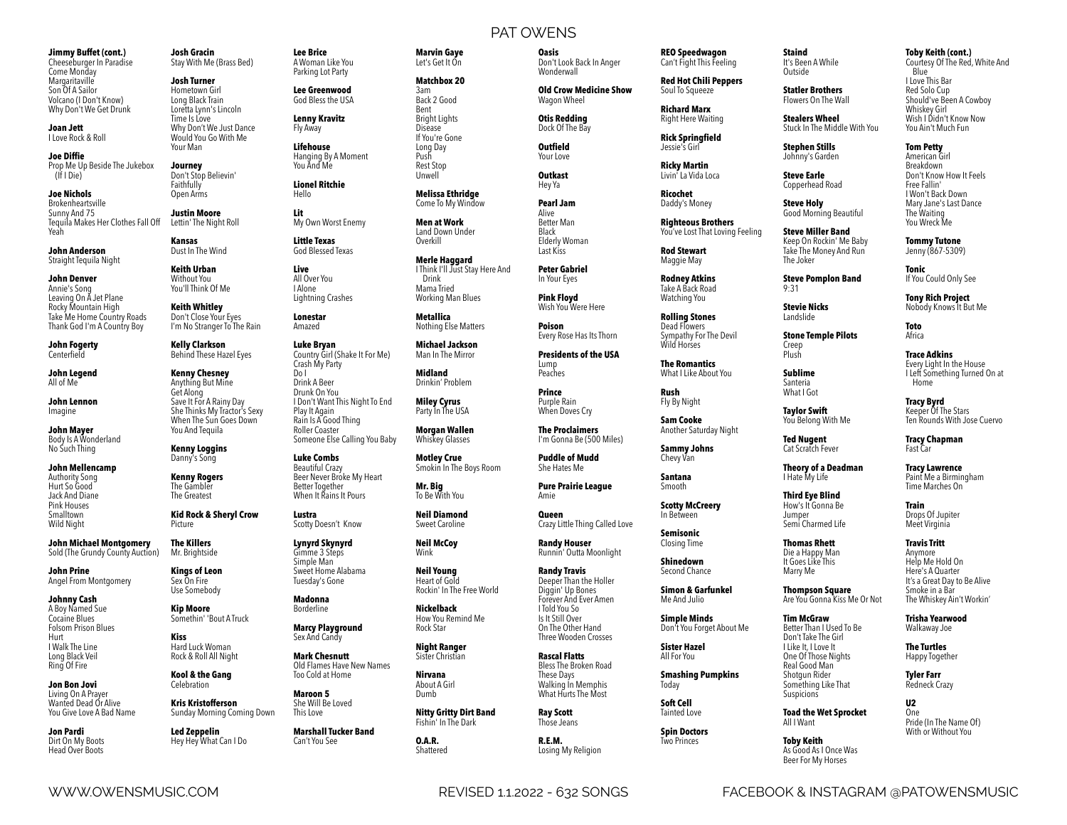#### **Jimmy Buffet (cont.)**  Cheeseburger In Paradise

Come Monday Margaritaville Son Of A Sailor Volcano (I Don't Know) Why Don't We Get Drunk

**Joan Jett**  I Love Rock & Roll

**Joe Diffie**  Prop Me Up Beside The Jukebox (If I Die)

**Joe Nichols**  Brokenheartsville Sunny And 75 Tequila Makes Her Clothes Fall Off Yeah Lettin' The Night Roll

**John Anderson**  Straight Tequila Night

**John Denver**  Annie's Song Leaving On A Jet Plane Rocky Mountain High Take Me Home Country Roads Thank God I'm A Country Boy

**John Fogerty Centerfield** 

**John Legend**  All of Me

**John Lennon**  Imagine

**John Mayer**  Body Is A Wonderland No Such Thing

**John Mellencamp**  Authority Song Hurt So Good Jack And Diane Pink Houses Smalltown Wild Night

**John Michael Montgomery**  Sold (The Grundy County Auction)

**John Prine**  Angel From Montgomery

**Johnny Cash**  A Boy Named Sue Cocaine Blues Folsom Prison Blues Hurt I Walk The Line Long Black Veil Ring Of Fire

**Jon Bon Jovi**  Living On A Prayer Wanted Dead Or Alive You Give Love A Bad Name

**Jon Pardi**  Dirt On My Boots Head Over Boots

**Josh Gracin**  Stay With Me (Brass Bed)

Would You Go With Me Your Man **Journey**  Don't Stop Believin' Faithfully Open Arms **Justin Moore** 

**Kansas**  Dust In The Wind **Keith Urban**  Without You You'll Think Of Me **Keith Whitley** 

Get Along

Danny's Song **Kenny Rogers**  The Gambler The Greatest

Picture **The Killers**  Mr. Brightside **Kings of Leon**  Sex On Fire Use Somebody **Kip Moore**  Somethin' 'Bout A Truck

**Kiss**  Hard Luck Woman Rock & Roll All Night **Kool & the Gang**  Celebration **Kris Kristofferson** 

**Led Zeppelin**  Hey Hey What Can I Do

**Josh Turner**  Hometown Girl Long Black Train Loretta Lynn's Lincoln Time Is Love Why Don't We Just Dance

**Lenny Kravitz**  Fly Away **Lifehouse** 

**Lee Brice**  A Woman Like You Parking Lot Party **Lee Greenwood**  God Bless the USA

Hanging By A Moment You And Me

**Lionel Ritchie**  Hello

**Lit**  My Own Worst Enemy

**Little Texas**  God Blessed Texas

> **Live**  All Over You I Alone Lightning Crashes

Don't Close Your Eyes I'm No Stranger To The Rain **Lonestar**  Amazed

**Kelly Clarkson**  Behind These Hazel Eyes **Kenny Chesney**  Anything But Mine Save It For A Rainy Day She Thinks My Tractor's Sexy When The Sun Goes Down You And Tequila **Luke Bryan**  Country Girl (Shake It For Me) Crash My Party Do I Drink A Beer Drunk On You I Don't Want This Night To End Play It Again Rain Is A Good Thing Roller Coaster Someone Else Calling You Baby

**Kenny Loggins Luke Combs**  Beautiful Crazy Beer Never Broke My Heart Better Together When It Rains It Pours

**Kid Rock & Sheryl Crow Lustra**  Scotty Doesn't Know

> **Lynyrd Skynyrd**  Gimme 3 Steps Simple Man Sweet Home Alabama Tuesday's Gone

**Madonna**  Borderline

> **Marcy Playground**  Sex And Candy **Mark Chesnutt**  Old Flames Have New Names

Too Cold at Home **Maroon 5** 

Sunday Morning Coming Down She Will Be Loved This Love

> **Marshall Tucker Band**  Can't You See

PAT OWENS

**Marvin Gaye**  Let's Get It On **Matchbox 20**  3am Back 2 Good Bent Bright Lights Disease If You're Gone Long Day Push Rest Stop Unwell **Melissa Ethridge**  Come To My Window **Men at Work**  Land Down Under Overkill **Merle Haggard** 

 Drink Mama Tried Working Man Blues **Metallica**  Nothing Else Matters **Michael Jackson**  Man In The Mirror **Midland**  Drinkin' Problem **Miley Cyrus**  Party In The USA **Morgan Wallen**  Whiskey Glasses **Motley Crue**  Smokin In The Boys Room

**Mr. Big**  To Be With You **Neil Diamond**  Sweet Caroline **Neil McCoy**  Wink **Neil Young**  Heart of Gold Rockin' In The Free World

**Nickelback**  How You Remind Me Rock Star **Night Ranger**  Sister Christian **Nirvana**  About A Girl Dumb

**Nitty Gritty Dirt Band**  Fishin' In The Dark **O.A.R.**  Shattered

**Oasis**  Don't Look Back In Anger Wonderwall

**Old Crow Medicine Show**  Wagon Wheel

**Otis Redding**  Dock Of The Bay

**Outfield**  Your Love

**Outkast**  Hey Ya

**Pearl Jam**  Alive Better Man Black

Elderly Woman Last Kiss

I Think I'll Just Stay Here And **Peter Gabriel**  In Your Eyes **Pink Floyd** 

Wish You Were Here **Poison**  Every Rose Has Its Thorn

**Presidents of the USA**  Lump Peaches

**Prince**  Purple Rain

When Doves Cry **The Proclaimers** 

I'm Gonna Be (500 Miles) **Puddle of Mudd** 

She Hates Me **Pure Prairie League** 

Amie

**Queen**  Crazy Little Thing Called Love

**Randy Houser**  Runnin' Outta Moonlight

**Randy Travis**  Deeper Than the Holler Diggin' Up Bones Forever And Ever Amen I Told You So Is It Still Over On The Other Hand Three Wooden Crosses

**Rascal Flatts**  Bless The Broken Road These Days Walking In Memphis What Hurts The Most

**Ray Scott**  Those Jeans

WWW.OWENSMUSIC.COM REVISED 1.1.2022 - 632 SONGS FACEBOOK & INSTAGRAM @PATOWENSMUSIC

**R.E.M.**  Losing My Religion

**REO Speedwagon**  Can't Fight This Feeling

**Red Hot Chili Peppers**  Soul To Squeeze

**Richard Marx**  Right Here Waiting

**Rick Springfield**  Jessie's Girl

**Ricky Martin**  Livin' La Vida Loca

**Ricochet**  Daddy's Money

> **Righteous Brothers**  You've Lost That Loving Feeling

**Rod Stewart**  Maggie May

**Rodney Atkins**  Take A Back Road Watching You

**Rolling Stones**  Dead Flowers Sympathy For The Devil Wild Horses

**The Romantics**  What I Like About You

**Rush**  Fly By Night

**Sam Cooke**  Another Saturday Night

**Sammy Johns**  Chevy Van

**Santana**  Smooth

> **Scotty McCreery**  In Between

**Semisonic**  Closing Time

**Shinedown**  Second Chance

**Simon & Garfunkel**  Me And Julio

**Simple Minds**  Don't You Forget About Me

**Sister Hazel**  All For You

**Smashing Pumpkins**  Today

**Soft Cell**  Tainted Love

**Spin Doctors**  Two Princes

**Staind**  It's Been A While **Outside** 

**Statler Brothers**  Flowers On The Wall

**Stealers Wheel**  Stuck In The Middle With You

**Toby Keith (cont.)**  Courtesy Of The Red, White And

 Blue I Love This Bar Red Solo Cup Should've Been A Cowboy Whiskey Girl Wish I Didn't Know Now You Ain't Much Fun **Tom Petty**  American Girl Breakdown Don't Know How It Feels Free Fallin' I Won't Back Down Mary Jane's Last Dance The Waiting You Wreck Me **Tommy Tutone**  Jenny (867-5309) **Tonic**  If You Could Only See **Tony Rich Project**  Nobody Knows It But Me

**Toto**  Africa **Trace Adkins**  Every Light In the House I Left Something Turned On at

 Home **Tracy Byrd**  Keeper Of The Stars Ten Rounds With Jose Cuervo

**Tracy Chapman**  Fast Car **Tracy Lawrence**  Paint Me a Birmingham Time Marches On **Train**  Drops Of Jupiter Meet Virginia **Travis Tritt**  Anymore Help Me Hold On Here's A Quarter It's a Great Day to Be Alive Smoke in a Bar The Whiskey Ain't Workin' **Trisha Yearwood**  Walkaway Joe **The Turtles**  Happy Together **Tyler Farr**  Redneck Crazy **U2**  One

Pride (In The Name Of) With or Without You

**Stephen Stills**  Johnny's Garden

**Steve Earle**  Copperhead Road

The Joker

9:31

**Steve Holy**  Good Morning Beautiful

**Steve Miller Band**  Keep On Rockin' Me Baby Take The Money And Run

**Steve Pomplon Band** 

**Stevie Nicks**  Landslide

**Stone Temple Pilots**  Creep Plush

**Sublime Santeria** What I Got

**Taylor Swift**  You Belong With Me

**Ted Nugent**  Cat Scratch Fever

**Theory of a Deadman**  I Hate My Life

**Third Eye Blind**  How's It Gonna Be Semi Charmed Life

**Thomas Rhett**  Die a Happy Man It Goes Like This Marry Me

Jumper

**Thompson Square**  Are You Gonna Kiss Me Or Not

**Tim McGraw**  Better Than I Used To Be Don't Take The Girl I Like It, I Love It One Of Those Nights Real Good Man

**Toad the Wet Sprocket**  All I Want

**Toby Keith**  As Good As I Once Was Beer For My Horses

Shotgun Rider Something Like That **Suspicions**